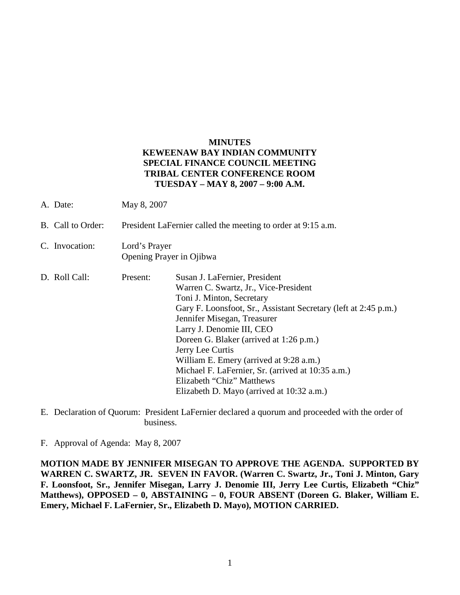## **MINUTES KEWEENAW BAY INDIAN COMMUNITY SPECIAL FINANCE COUNCIL MEETING TRIBAL CENTER CONFERENCE ROOM TUESDAY – MAY 8, 2007 – 9:00 A.M.**

- A. Date: May 8, 2007
- B. Call to Order: President LaFernier called the meeting to order at 9:15 a.m.
- C. Invocation: Lord's Prayer Opening Prayer in Ojibwa
- D. Roll Call: Present: Susan J. LaFernier, President Warren C. Swartz, Jr., Vice-President Toni J. Minton, Secretary Gary F. Loonsfoot, Sr., Assistant Secretary (left at 2:45 p.m.) Jennifer Misegan, Treasurer Larry J. Denomie III, CEO Doreen G. Blaker (arrived at 1:26 p.m.) Jerry Lee Curtis William E. Emery (arrived at 9:28 a.m.) Michael F. LaFernier, Sr. (arrived at 10:35 a.m.) Elizabeth "Chiz" Matthews Elizabeth D. Mayo (arrived at 10:32 a.m.)
- E. Declaration of Quorum: President LaFernier declared a quorum and proceeded with the order of business.

F. Approval of Agenda: May 8, 2007

**MOTION MADE BY JENNIFER MISEGAN TO APPROVE THE AGENDA. SUPPORTED BY WARREN C. SWARTZ, JR. SEVEN IN FAVOR. (Warren C. Swartz, Jr., Toni J. Minton, Gary F. Loonsfoot, Sr., Jennifer Misegan, Larry J. Denomie III, Jerry Lee Curtis, Elizabeth "Chiz" Matthews), OPPOSED – 0, ABSTAINING – 0, FOUR ABSENT (Doreen G. Blaker, William E. Emery, Michael F. LaFernier, Sr., Elizabeth D. Mayo), MOTION CARRIED.**